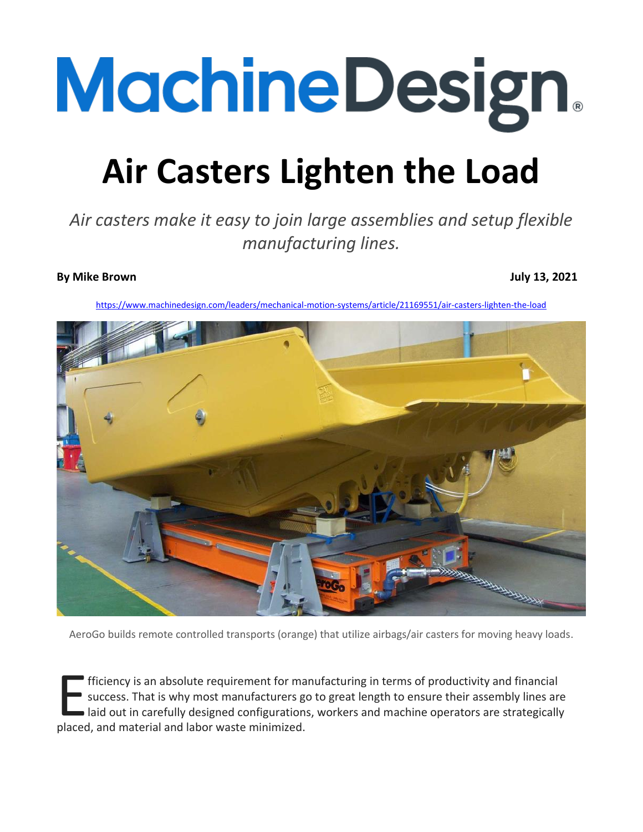

# **Air Casters Lighten the Load**

## *Air casters make it easy to join large assemblies and setup flexible manufacturing lines.*

#### **By Mike Brown July 13, 2021**

<https://www.machinedesign.com/leaders/mechanical-motion-systems/article/21169551/air-casters-lighten-the-load>



AeroGo builds remote controlled transports (orange) that utilize airbags/air casters for moving heavy loads.

fficiency is an absolute requirement for manufacturing in terms of productivity and financial success. That is why most manufacturers go to great length to ensure their assembly lines are laid out in carefully designed configurations, workers and machine operators are strategically Friciency is an absolute requirement for material and is why most manufacturers g<br>laid out in carefully designed configuration<br>placed, and material and labor waste minimized.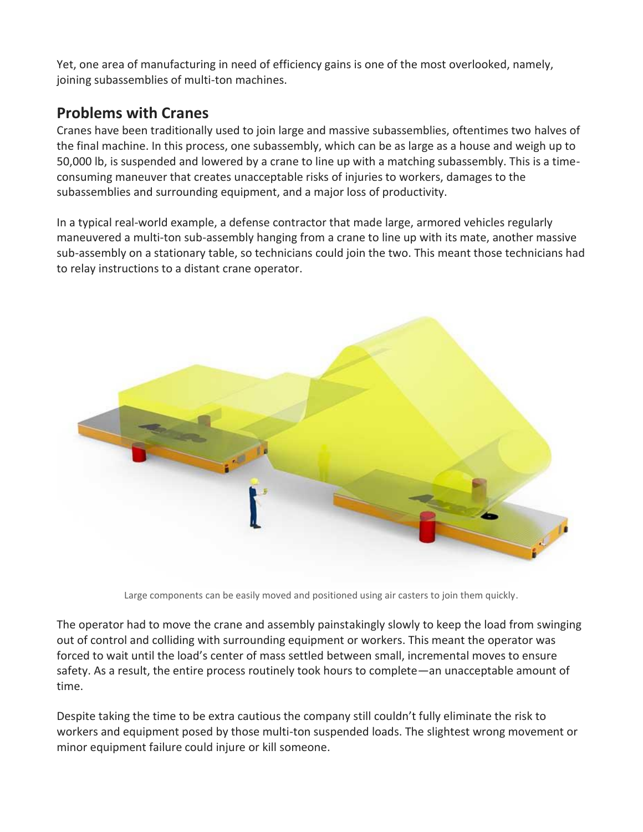Yet, one area of manufacturing in need of efficiency gains is one of the most overlooked, namely, joining subassemblies of multi-ton machines.

#### **Problems with Cranes**

Cranes have been traditionally used to join large and massive subassemblies, oftentimes two halves of the final machine. In this process, one subassembly, which can be as large as a house and weigh up to 50,000 lb, is suspended and lowered by a crane to line up with a matching subassembly. This is a timeconsuming maneuver that creates unacceptable risks of injuries to workers, damages to the subassemblies and surrounding equipment, and a major loss of productivity.

In a typical real-world example, a defense contractor that made large, armored vehicles regularly maneuvered a multi-ton sub-assembly hanging from a crane to line up with its mate, another massive sub-assembly on a stationary table, so technicians could join the two. This meant those technicians had to relay instructions to a distant crane operator.



Large components can be easily moved and positioned using air casters to join them quickly.

The operator had to move the crane and assembly painstakingly slowly to keep the load from swinging out of control and colliding with surrounding equipment or workers. This meant the operator was forced to wait until the load's center of mass settled between small, incremental moves to ensure safety. As a result, the entire process routinely took hours to complete—an unacceptable amount of time.

Despite taking the time to be extra cautious the company still couldn't fully eliminate the risk to workers and equipment posed by those multi-ton suspended loads. The slightest wrong movement or minor equipment failure could injure or kill someone.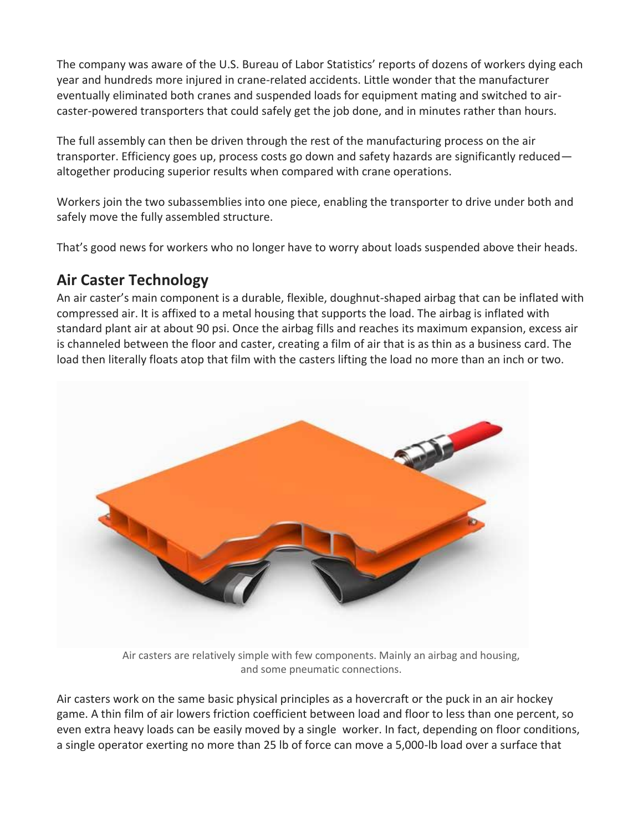The company was aware of the U.S. Bureau of Labor Statistics' reports of dozens of workers dying each year and hundreds more injured in crane-related accidents. Little wonder that the manufacturer eventually eliminated both cranes and suspended loads for equipment mating and switched to aircaster-powered transporters that could safely get the job done, and in minutes rather than hours.

The full assembly can then be driven through the rest of the manufacturing process on the air transporter. Efficiency goes up, process costs go down and safety hazards are significantly reduced altogether producing superior results when compared with crane operations.

Workers join the two subassemblies into one piece, enabling the transporter to drive under both and safely move the fully assembled structure.

That's good news for workers who no longer have to worry about loads suspended above their heads.

#### **Air Caster Technology**

An air caster's main component is a durable, flexible, doughnut-shaped airbag that can be inflated with compressed air. It is affixed to a metal housing that supports the load. The airbag is inflated with standard plant air at about 90 psi. Once the airbag fills and reaches its maximum expansion, excess air is channeled between the floor and caster, creating a film of air that is as thin as a business card. The load then literally floats atop that film with the casters lifting the load no more than an inch or two.



Air casters are relatively simple with few components. Mainly an airbag and housing, and some pneumatic connections.

Air casters work on the same basic physical principles as a hovercraft or the puck in an air hockey game. A thin film of air lowers friction coefficient between load and floor to less than one percent, so even extra heavy loads can be easily moved by a single worker. In fact, depending on floor conditions, a single operator exerting no more than 25 lb of force can move a 5,000-lb load over a surface that